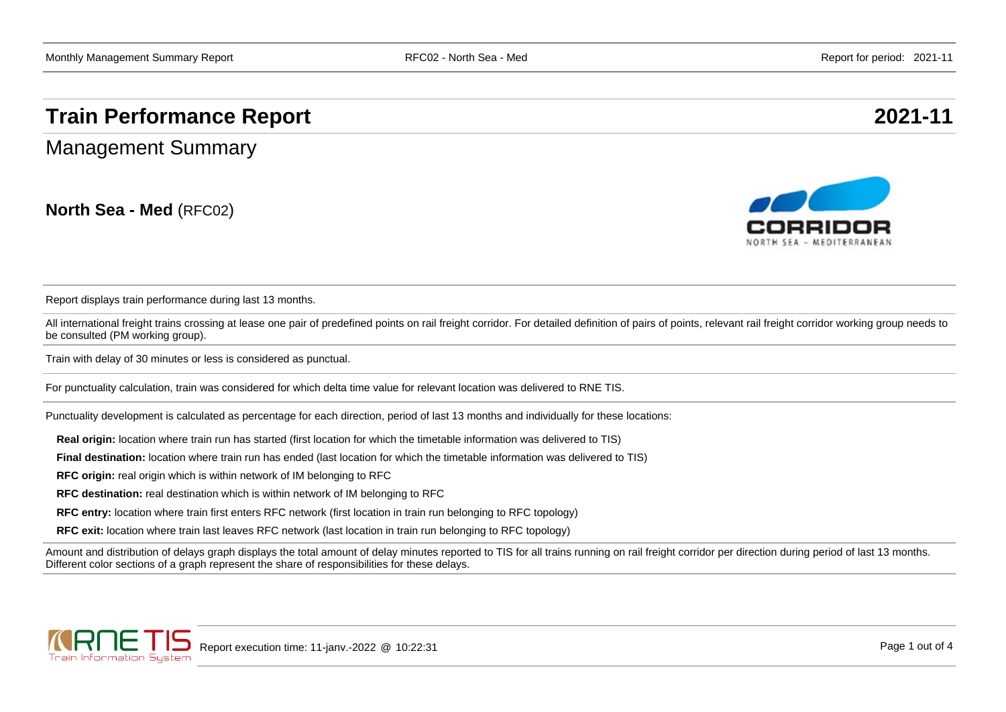## **Train Performance Report 2021-11**

Management Summary

**North Sea - Med** (RFC02)



Report displays train performance during last 13 months.

All international freight trains crossing at lease one pair of predefined points on rail freight corridor. For detailed definition of pairs of points, relevant rail freight corridor working group needs to be consulted (PM working group).

Train with delay of 30 minutes or less is considered as punctual.

For punctuality calculation, train was considered for which delta time value for relevant location was delivered to RNE TIS.

Punctuality development is calculated as percentage for each direction, period of last 13 months and individually for these locations:

**Real origin:** location where train run has started (first location for which the timetable information was delivered to TIS)

**Final destination:** location where train run has ended (last location for which the timetable information was delivered to TIS)

**RFC origin:** real origin which is within network of IM belonging to RFC

**RFC destination:** real destination which is within network of IM belonging to RFC

**RFC entry:** location where train first enters RFC network (first location in train run belonging to RFC topology)

**RFC exit:** location where train last leaves RFC network (last location in train run belonging to RFC topology)

Amount and distribution of delays graph displays the total amount of delay minutes reported to TIS for all trains running on rail freight corridor per direction during period of last 13 months. Different color sections of a graph represent the share of responsibilities for these delays.

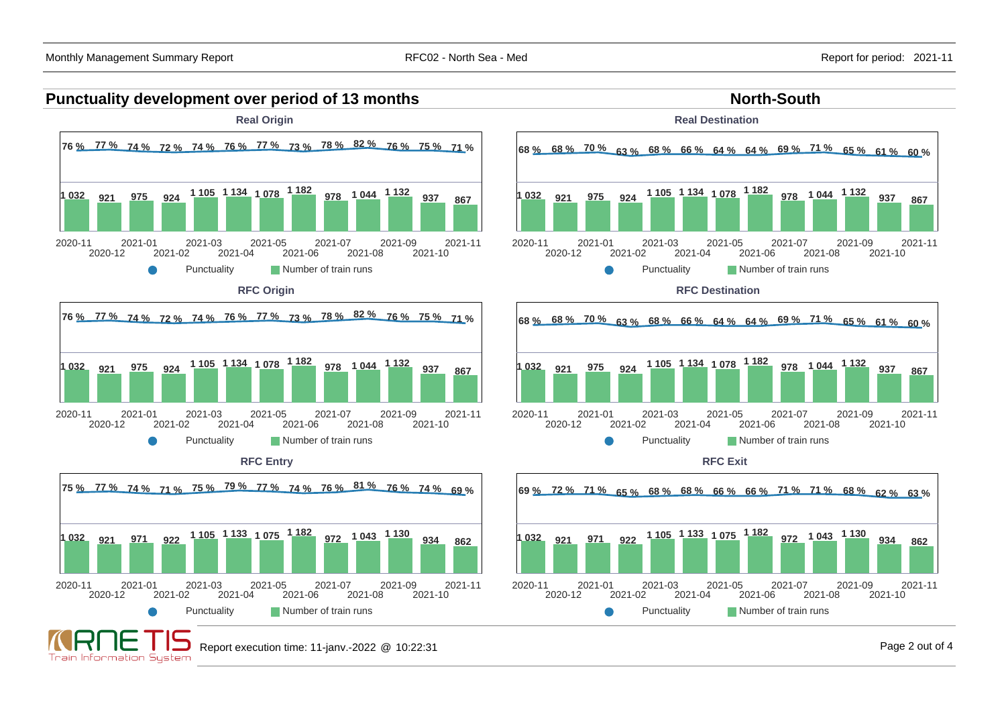Train Information System

2021-10

2021-10

2021-10

2021-11

2021-11





2021-11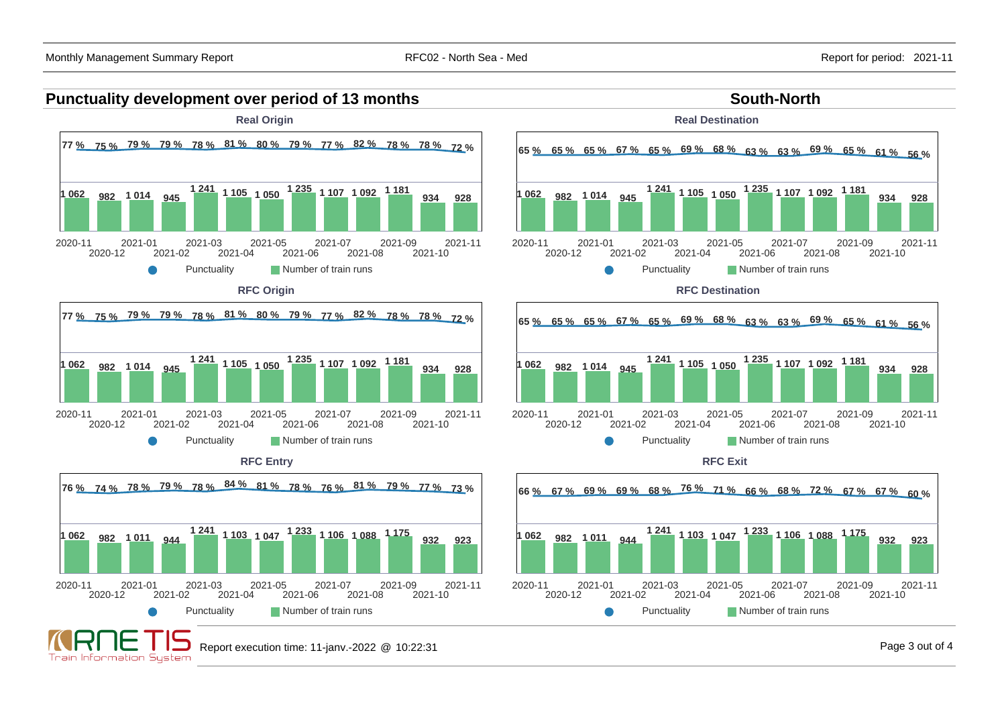Train Information Sustem

## **Punctuality development over period of 13 months South-North South-North**

![](_page_2_Figure_4.jpeg)

Punctuality **Number of train runs** 

![](_page_2_Figure_6.jpeg)

**Real Destination**

![](_page_2_Figure_7.jpeg)

![](_page_2_Figure_8.jpeg)

**RFC Exit**

![](_page_2_Figure_10.jpeg)

Report execution time: 11-janv.-2022 @ 10:22:31 Page 3 out of 4